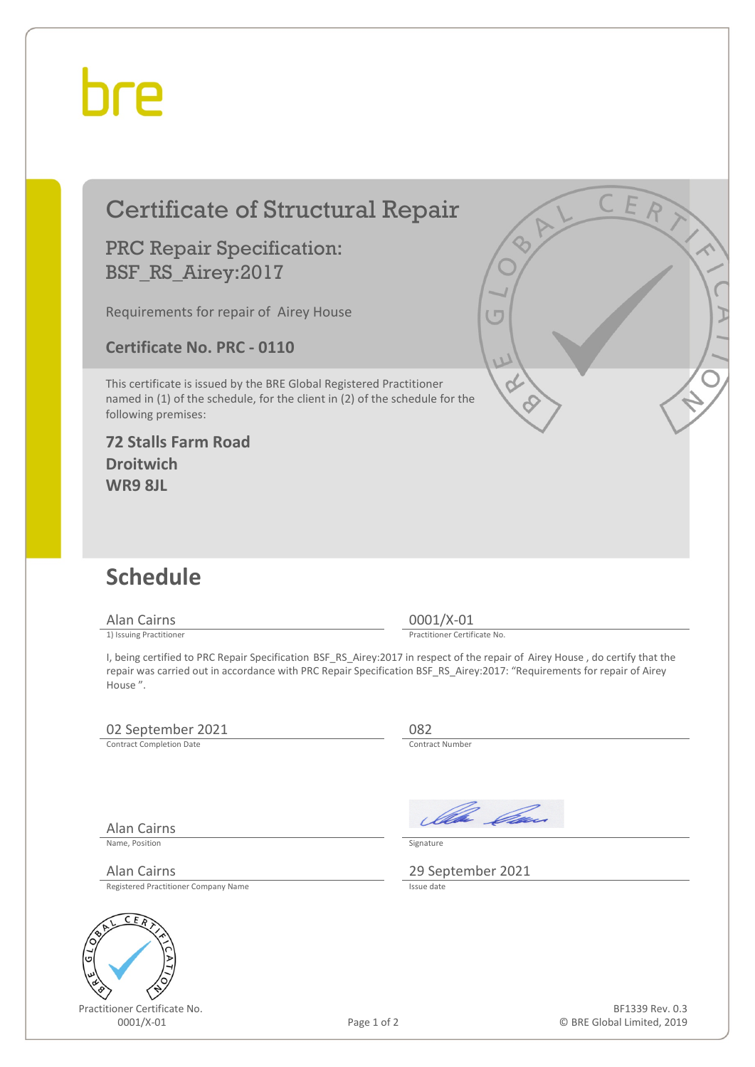## hre

## Certificate of Structural Repair

### PRC Repair Specification: BSF\_RS\_Airey:2017

Requirements for repair of Airey House

**Certificate No. PRC - 0110**

This certificate is issued by the BRE Global Registered Practitioner named in (1) of the schedule, for the client in (2) of the schedule for the following premises:

#### **72 Stalls Farm Road Droitwich WR9 8JL**

## **Schedule**

Alan Cairns 0001/X-01<br>
1) Issuing Practitioner<br>
1) Issuing Practitioner

Practitioner Certificate No.

I, being certified to PRC Repair Specification BSF\_RS\_Airey:2017 in respect of the repair of Airey House , do certify that the repair was carried out in accordance with PRC Repair Specification BSF\_RS\_Airey:2017: "Requirements for repair of Airey House ".

### 02 September 2021 082<br>
Contract Completion Date Contract Number

Contract Completion Date

Alan Cairns

Ila *Ca* 

Name, Position Signature

Alan Cairns 29 September 2021

Registered Practitioner Company Name



Practitioner Certificate No.